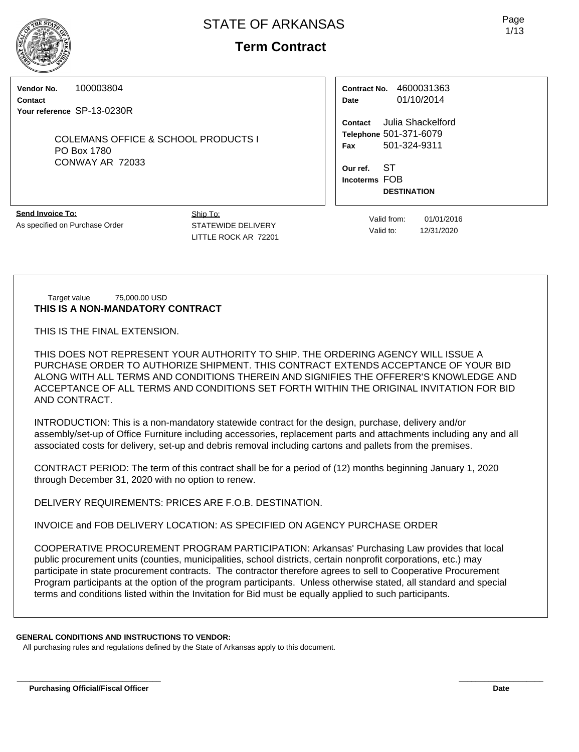**Term Contract**

### **Vendor No.** 100003804

**Contact Your reference** SP-13-0230R

> COLEMANS OFFICE & SCHOOL PRODUCTS I PO Box 1780 CONWAY AR 72033

| Contract No. | 4600031363 |  |  |  |  |
|--------------|------------|--|--|--|--|
| Date         | 01/10/2014 |  |  |  |  |

**Contact** Julia Shackelford **Telephone** 501-371-6079 **Fax** 501-324-9311

**Our ref.** ST **Incoterms** FOB **DESTINATION**

**Send Invoice To:** As specified on Purchase Order Ship To: STATEWIDE DELIVERY LITTLE ROCK AR 72201

Valid from: 01/01/2016 Valid to: 12/31/2020

#### Target value 75,000.00 USD **THIS IS A NON-MANDATORY CONTRACT**

THIS IS THE FINAL EXTENSION.

THIS DOES NOT REPRESENT YOUR AUTHORITY TO SHIP. THE ORDERING AGENCY WILL ISSUE A PURCHASE ORDER TO AUTHORIZE SHIPMENT. THIS CONTRACT EXTENDS ACCEPTANCE OF YOUR BID ALONG WITH ALL TERMS AND CONDITIONS THEREIN AND SIGNIFIES THE OFFERER'S KNOWLEDGE AND ACCEPTANCE OF ALL TERMS AND CONDITIONS SET FORTH WITHIN THE ORIGINAL INVITATION FOR BID AND CONTRACT.

INTRODUCTION: This is a non-mandatory statewide contract for the design, purchase, delivery and/or assembly/set-up of Office Furniture including accessories, replacement parts and attachments including any and all associated costs for delivery, set-up and debris removal including cartons and pallets from the premises.

CONTRACT PERIOD: The term of this contract shall be for a period of (12) months beginning January 1, 2020 through December 31, 2020 with no option to renew.

DELIVERY REQUIREMENTS: PRICES ARE F.O.B. DESTINATION.

INVOICE and FOB DELIVERY LOCATION: AS SPECIFIED ON AGENCY PURCHASE ORDER

COOPERATIVE PROCUREMENT PROGRAM PARTICIPATION: Arkansas' Purchasing Law provides that local public procurement units (counties, municipalities, school districts, certain nonprofit corporations, etc.) may participate in state procurement contracts. The contractor therefore agrees to sell to Cooperative Procurement Program participants at the option of the program participants. Unless otherwise stated, all standard and special terms and conditions listed within the Invitation for Bid must be equally applied to such participants.

**\_\_\_\_\_\_\_\_\_\_\_\_\_\_\_\_\_\_\_\_\_\_\_\_\_\_\_\_\_\_\_\_\_\_ \_\_\_\_\_\_\_\_\_\_\_\_\_\_\_\_\_\_\_\_**

## **GENERAL CONDITIONS AND INSTRUCTIONS TO VENDOR:**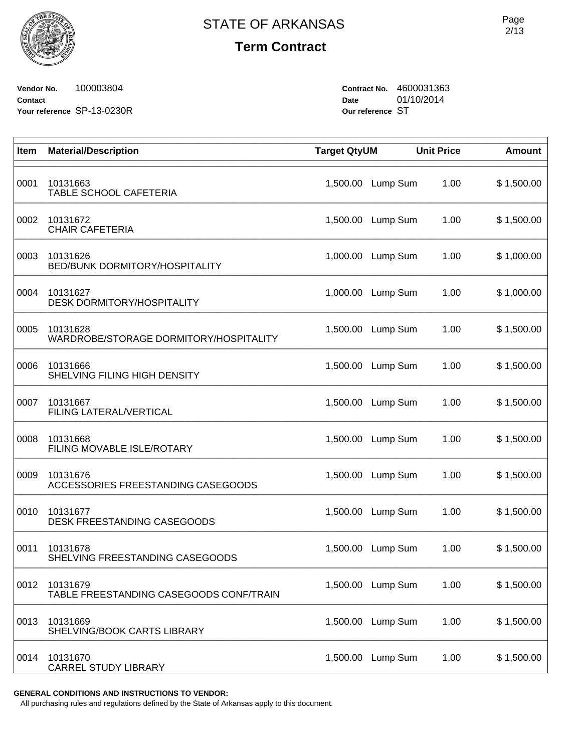**Vendor No.** 100003804 **Contact Your reference** SP-13-0230R **Contract No.** 4600031363 **Date** 01/10/2014 **Our reference** ST

| Item | <b>Material/Description</b>                         | <b>Target QtyUM</b> |          | <b>Unit Price</b> | <b>Amount</b> |
|------|-----------------------------------------------------|---------------------|----------|-------------------|---------------|
| 0001 | 10131663<br>TABLE SCHOOL CAFETERIA                  | 1,500.00            | Lump Sum | 1.00              | \$1,500.00    |
| 0002 | 10131672<br><b>CHAIR CAFETERIA</b>                  | 1,500.00            | Lump Sum | 1.00              | \$1,500.00    |
| 0003 | 10131626<br>BED/BUNK DORMITORY/HOSPITALITY          | 1,000.00            | Lump Sum | 1.00              | \$1,000.00    |
| 0004 | 10131627<br><b>DESK DORMITORY/HOSPITALITY</b>       | 1,000.00            | Lump Sum | 1.00              | \$1,000.00    |
| 0005 | 10131628<br>WARDROBE/STORAGE DORMITORY/HOSPITALITY  | 1,500.00            | Lump Sum | 1.00              | \$1,500.00    |
| 0006 | 10131666<br>SHELVING FILING HIGH DENSITY            | 1,500.00            | Lump Sum | 1.00              | \$1,500.00    |
| 0007 | 10131667<br>FILING LATERAL/VERTICAL                 | 1,500.00            | Lump Sum | 1.00              | \$1,500.00    |
| 0008 | 10131668<br>FILING MOVABLE ISLE/ROTARY              | 1,500.00            | Lump Sum | 1.00              | \$1,500.00    |
| 0009 | 10131676<br>ACCESSORIES FREESTANDING CASEGOODS      | 1,500.00            | Lump Sum | 1.00              | \$1,500.00    |
| 0010 | 10131677<br>DESK FREESTANDING CASEGOODS             | 1,500.00            | Lump Sum | 1.00              | \$1,500.00    |
| 0011 | 10131678<br>SHELVING FREESTANDING CASEGOODS         | 1,500.00            | Lump Sum | 1.00              | \$1,500.00    |
| 0012 | 10131679<br>TABLE FREESTANDING CASEGOODS CONF/TRAIN | 1,500.00            | Lump Sum | 1.00              | \$1,500.00    |
| 0013 | 10131669<br>SHELVING/BOOK CARTS LIBRARY             | 1,500.00            | Lump Sum | 1.00              | \$1,500.00    |
| 0014 | 10131670<br><b>CARREL STUDY LIBRARY</b>             | 1,500.00            | Lump Sum | 1.00              | \$1,500.00    |

**GENERAL CONDITIONS AND INSTRUCTIONS TO VENDOR:**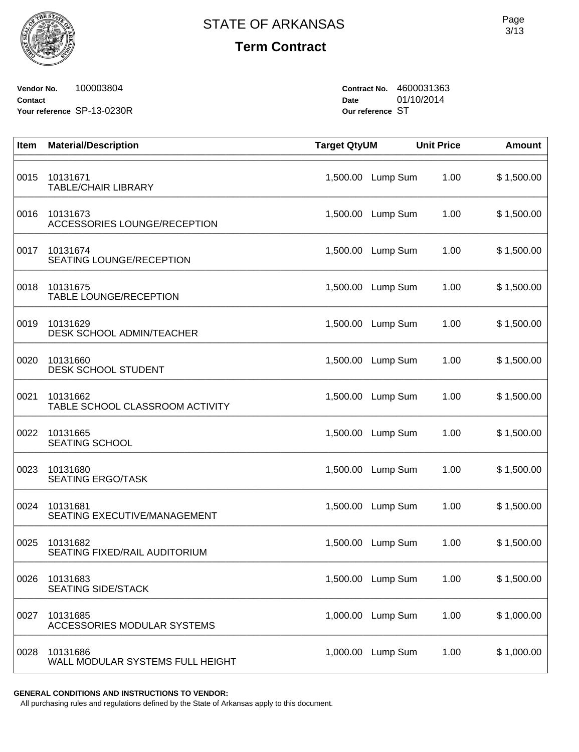

**Vendor No.** 100003804 **Contact Your reference** SP-13-0230R **Contract No.** 4600031363 **Date** 01/10/2014 **Our reference** ST

| Item | <b>Material/Description</b>                  | <b>Target QtyUM</b> |                   | <b>Unit Price</b> | <b>Amount</b> |
|------|----------------------------------------------|---------------------|-------------------|-------------------|---------------|
| 0015 | 10131671<br><b>TABLE/CHAIR LIBRARY</b>       | 1,500.00            | Lump Sum          | 1.00              | \$1,500.00    |
| 0016 | 10131673<br>ACCESSORIES LOUNGE/RECEPTION     |                     | 1,500.00 Lump Sum | 1.00              | \$1,500.00    |
| 0017 | 10131674<br>SEATING LOUNGE/RECEPTION         | 1,500.00            | Lump Sum          | 1.00              | \$1,500.00    |
| 0018 | 10131675<br>TABLE LOUNGE/RECEPTION           |                     | 1,500.00 Lump Sum | 1.00              | \$1,500.00    |
| 0019 | 10131629<br><b>DESK SCHOOL ADMIN/TEACHER</b> | 1,500.00            | Lump Sum          | 1.00              | \$1,500.00    |
| 0020 | 10131660<br><b>DESK SCHOOL STUDENT</b>       | 1,500.00            | Lump Sum          | 1.00              | \$1,500.00    |
| 0021 | 10131662<br>TABLE SCHOOL CLASSROOM ACTIVITY  |                     | 1,500.00 Lump Sum | 1.00              | \$1,500.00    |
| 0022 | 10131665<br><b>SEATING SCHOOL</b>            | 1,500.00            | Lump Sum          | 1.00              | \$1,500.00    |
| 0023 | 10131680<br><b>SEATING ERGO/TASK</b>         | 1,500.00            | Lump Sum          | 1.00              | \$1,500.00    |
| 0024 | 10131681<br>SEATING EXECUTIVE/MANAGEMENT     |                     | 1,500.00 Lump Sum | 1.00              | \$1,500.00    |
| 0025 | 10131682<br>SEATING FIXED/RAIL AUDITORIUM    | 1,500.00            | Lump Sum          | 1.00              | \$1,500.00    |
| 0026 | 10131683<br><b>SEATING SIDE/STACK</b>        |                     | 1,500.00 Lump Sum | 1.00              | \$1,500.00    |
| 0027 | 10131685<br>ACCESSORIES MODULAR SYSTEMS      | 1,000.00            | Lump Sum          | 1.00              | \$1,000.00    |
| 0028 | 10131686<br>WALL MODULAR SYSTEMS FULL HEIGHT | 1,000.00            | Lump Sum          | 1.00              | \$1,000.00    |

**GENERAL CONDITIONS AND INSTRUCTIONS TO VENDOR:**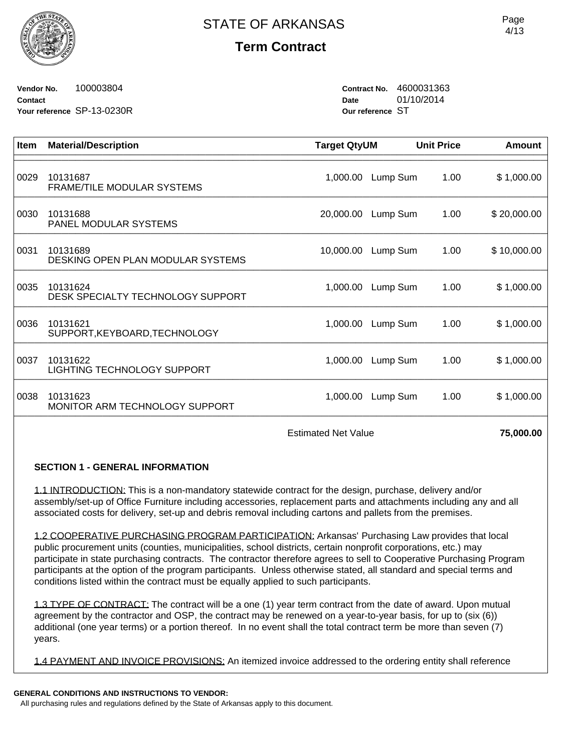**Vendor No.** 100003804 **Contact Your reference** SP-13-0230R **Contract No.** 4600031363 **Date** 01/10/2014 **Our reference** ST

| <b>Item</b> | <b>Material/Description</b>                    | <b>Target QtyUM</b> |          | <b>Unit Price</b> | Amount      |
|-------------|------------------------------------------------|---------------------|----------|-------------------|-------------|
| 0029        | 10131687<br><b>FRAME/TILE MODULAR SYSTEMS</b>  | 1,000.00            | Lump Sum | 1.00              | \$1,000.00  |
| 0030        | 10131688<br>PANEL MODULAR SYSTEMS              | 20,000.00           | Lump Sum | 1.00              | \$20,000.00 |
| 0031        | 10131689<br>DESKING OPEN PLAN MODULAR SYSTEMS  | 10,000.00           | Lump Sum | 1.00              | \$10,000.00 |
| 0035        | 10131624<br>DESK SPECIALTY TECHNOLOGY SUPPORT  | 1,000.00            | Lump Sum | 1.00              | \$1,000.00  |
| 0036        | 10131621<br>SUPPORT, KEYBOARD, TECHNOLOGY      | 1,000.00            | Lump Sum | 1.00              | \$1,000.00  |
| 0037        | 10131622<br><b>LIGHTING TECHNOLOGY SUPPORT</b> | 1,000.00            | Lump Sum | 1.00              | \$1,000.00  |
| 0038        | 10131623<br>MONITOR ARM TECHNOLOGY SUPPORT     | 1,000.00            | Lump Sum | 1.00              | \$1,000.00  |

Estimated Net Value **75,000.00** 

### **SECTION 1 - GENERAL INFORMATION**

1.1 INTRODUCTION: This is a non-mandatory statewide contract for the design, purchase, delivery and/or assembly/set-up of Office Furniture including accessories, replacement parts and attachments including any and all associated costs for delivery, set-up and debris removal including cartons and pallets from the premises.

1.2 COOPERATIVE PURCHASING PROGRAM PARTICIPATION: Arkansas' Purchasing Law provides that local public procurement units (counties, municipalities, school districts, certain nonprofit corporations, etc.) may participate in state purchasing contracts. The contractor therefore agrees to sell to Cooperative Purchasing Program participants at the option of the program participants. Unless otherwise stated, all standard and special terms and conditions listed within the contract must be equally applied to such participants.

1.3 TYPE OF CONTRACT: The contract will be a one (1) year term contract from the date of award. Upon mutual agreement by the contractor and OSP, the contract may be renewed on a year-to-year basis, for up to (six (6)) additional (one year terms) or a portion thereof. In no event shall the total contract term be more than seven (7) years.

1.4 PAYMENT AND INVOICE PROVISIONS: An itemized invoice addressed to the ordering entity shall reference

#### **GENERAL CONDITIONS AND INSTRUCTIONS TO VENDOR:**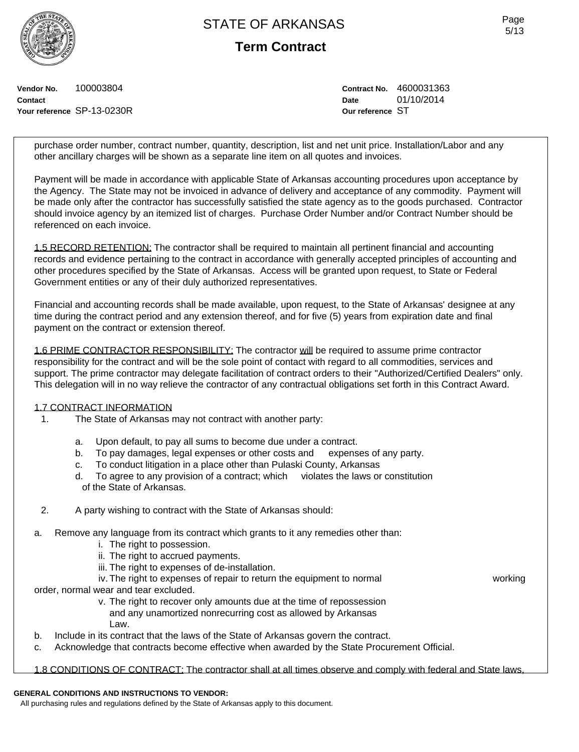**Term Contract**

Page 5/13

**Vendor No.** 100003804 **Contact Your reference** SP-13-0230R **Contract No.** 4600031363 **Date** 01/10/2014 **Our reference** ST

purchase order number, contract number, quantity, description, list and net unit price. Installation/Labor and any other ancillary charges will be shown as a separate line item on all quotes and invoices.

Payment will be made in accordance with applicable State of Arkansas accounting procedures upon acceptance by the Agency. The State may not be invoiced in advance of delivery and acceptance of any commodity. Payment will be made only after the contractor has successfully satisfied the state agency as to the goods purchased. Contractor should invoice agency by an itemized list of charges. Purchase Order Number and/or Contract Number should be referenced on each invoice.

1.5 RECORD RETENTION: The contractor shall be required to maintain all pertinent financial and accounting records and evidence pertaining to the contract in accordance with generally accepted principles of accounting and other procedures specified by the State of Arkansas. Access will be granted upon request, to State or Federal Government entities or any of their duly authorized representatives.

Financial and accounting records shall be made available, upon request, to the State of Arkansas' designee at any time during the contract period and any extension thereof, and for five (5) years from expiration date and final payment on the contract or extension thereof.

1.6 PRIME CONTRACTOR RESPONSIBILITY: The contractor will be required to assume prime contractor responsibility for the contract and will be the sole point of contact with regard to all commodities, services and support. The prime contractor may delegate facilitation of contract orders to their "Authorized/Certified Dealers" only. This delegation will in no way relieve the contractor of any contractual obligations set forth in this Contract Award.

#### 1.7 CONTRACT INFORMATION

- 1. The State of Arkansas may not contract with another party:
	- a. Upon default, to pay all sums to become due under a contract.
	- b. To pay damages, legal expenses or other costs and expenses of any party.
	- c. To conduct litigation in a place other than Pulaski County, Arkansas
	- d. To agree to any provision of a contract; which violates the laws or constitution of the State of Arkansas.
- 2. A party wishing to contract with the State of Arkansas should:
- a. Remove any language from its contract which grants to it any remedies other than:
	- i. The right to possession.
	- ii. The right to accrued payments.
	- iii. The right to expenses of de-installation.
	- iv. The right to expenses of repair to return the equipment to normal working

- order, normal wear and tear excluded.
	- v. The right to recover only amounts due at the time of repossession and any unamortized nonrecurring cost as allowed by Arkansas Law.
- b. Include in its contract that the laws of the State of Arkansas govern the contract.
- c. Acknowledge that contracts become effective when awarded by the State Procurement Official.

1.8 CONDITIONS OF CONTRACT: The contractor shall at all times observe and comply with federal and State laws,

## **GENERAL CONDITIONS AND INSTRUCTIONS TO VENDOR:**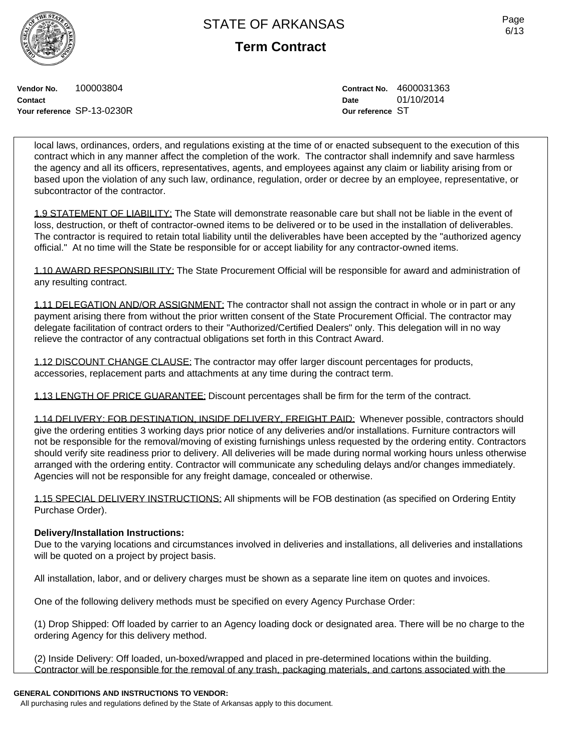**Term Contract**

**Vendor No.** 100003804 **Contact Your reference** SP-13-0230R **Contract No.** 4600031363 **Date** 01/10/2014 **Our reference** ST

local laws, ordinances, orders, and regulations existing at the time of or enacted subsequent to the execution of this contract which in any manner affect the completion of the work. The contractor shall indemnify and save harmless the agency and all its officers, representatives, agents, and employees against any claim or liability arising from or based upon the violation of any such law, ordinance, regulation, order or decree by an employee, representative, or subcontractor of the contractor.

1.9 STATEMENT OF LIABILITY: The State will demonstrate reasonable care but shall not be liable in the event of loss, destruction, or theft of contractor-owned items to be delivered or to be used in the installation of deliverables. The contractor is required to retain total liability until the deliverables have been accepted by the "authorized agency official." At no time will the State be responsible for or accept liability for any contractor-owned items.

1.10 AWARD RESPONSIBILITY: The State Procurement Official will be responsible for award and administration of any resulting contract.

1.11 DELEGATION AND/OR ASSIGNMENT: The contractor shall not assign the contract in whole or in part or any payment arising there from without the prior written consent of the State Procurement Official. The contractor may delegate facilitation of contract orders to their "Authorized/Certified Dealers" only. This delegation will in no way relieve the contractor of any contractual obligations set forth in this Contract Award.

1.12 DISCOUNT CHANGE CLAUSE: The contractor may offer larger discount percentages for products, accessories, replacement parts and attachments at any time during the contract term.

1.13 LENGTH OF PRICE GUARANTEE: Discount percentages shall be firm for the term of the contract.

1.14 DELIVERY: FOB DESTINATION, INSIDE DELIVERY, FREIGHT PAID: Whenever possible, contractors should give the ordering entities 3 working days prior notice of any deliveries and/or installations. Furniture contractors will not be responsible for the removal/moving of existing furnishings unless requested by the ordering entity. Contractors should verify site readiness prior to delivery. All deliveries will be made during normal working hours unless otherwise arranged with the ordering entity. Contractor will communicate any scheduling delays and/or changes immediately. Agencies will not be responsible for any freight damage, concealed or otherwise.

1.15 SPECIAL DELIVERY INSTRUCTIONS: All shipments will be FOB destination (as specified on Ordering Entity Purchase Order).

### **Delivery/Installation Instructions:**

Due to the varying locations and circumstances involved in deliveries and installations, all deliveries and installations will be quoted on a project by project basis.

All installation, labor, and or delivery charges must be shown as a separate line item on quotes and invoices.

One of the following delivery methods must be specified on every Agency Purchase Order:

(1) Drop Shipped: Off loaded by carrier to an Agency loading dock or designated area. There will be no charge to the ordering Agency for this delivery method.

(2) Inside Delivery: Off loaded, un-boxed/wrapped and placed in pre-determined locations within the building. Contractor will be responsible for the removal of any trash, packaging materials, and cartons associated with the

#### **GENERAL CONDITIONS AND INSTRUCTIONS TO VENDOR:**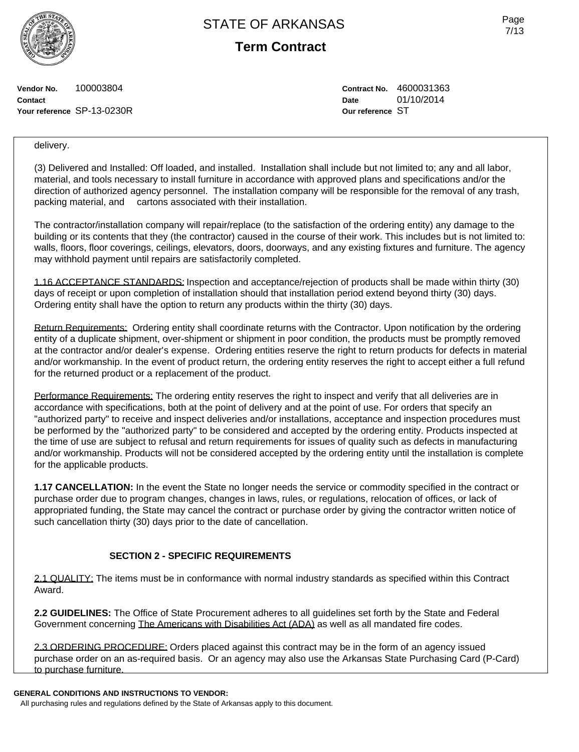**Term Contract**

**Vendor No.** 100003804 **Contact Your reference** SP-13-0230R **Contract No.** 4600031363 **Date** 01/10/2014 **Our reference** ST

delivery.

(3) Delivered and Installed: Off loaded, and installed. Installation shall include but not limited to; any and all labor, material, and tools necessary to install furniture in accordance with approved plans and specifications and/or the direction of authorized agency personnel. The installation company will be responsible for the removal of any trash, packing material, and cartons associated with their installation.

The contractor/installation company will repair/replace (to the satisfaction of the ordering entity) any damage to the building or its contents that they (the contractor) caused in the course of their work. This includes but is not limited to: walls, floors, floor coverings, ceilings, elevators, doors, doorways, and any existing fixtures and furniture. The agency may withhold payment until repairs are satisfactorily completed.

1.16 ACCEPTANCE STANDARDS: Inspection and acceptance/rejection of products shall be made within thirty (30) days of receipt or upon completion of installation should that installation period extend beyond thirty (30) days. Ordering entity shall have the option to return any products within the thirty (30) days.

Return Requirements: Ordering entity shall coordinate returns with the Contractor. Upon notification by the ordering entity of a duplicate shipment, over-shipment or shipment in poor condition, the products must be promptly removed at the contractor and/or dealer's expense. Ordering entities reserve the right to return products for defects in material and/or workmanship. In the event of product return, the ordering entity reserves the right to accept either a full refund for the returned product or a replacement of the product.

Performance Requirements: The ordering entity reserves the right to inspect and verify that all deliveries are in accordance with specifications, both at the point of delivery and at the point of use. For orders that specify an "authorized party" to receive and inspect deliveries and/or installations, acceptance and inspection procedures must be performed by the "authorized party" to be considered and accepted by the ordering entity. Products inspected at the time of use are subject to refusal and return requirements for issues of quality such as defects in manufacturing and/or workmanship. Products will not be considered accepted by the ordering entity until the installation is complete for the applicable products.

**1.17 CANCELLATION:** In the event the State no longer needs the service or commodity specified in the contract or purchase order due to program changes, changes in laws, rules, or regulations, relocation of offices, or lack of appropriated funding, the State may cancel the contract or purchase order by giving the contractor written notice of such cancellation thirty (30) days prior to the date of cancellation.

## **SECTION 2 - SPECIFIC REQUIREMENTS**

2.1 QUALITY: The items must be in conformance with normal industry standards as specified within this Contract Award.

**2.2 GUIDELINES:** The Office of State Procurement adheres to all guidelines set forth by the State and Federal Government concerning The Americans with Disabilities Act (ADA) as well as all mandated fire codes.

2.3 ORDERING PROCEDURE: Orders placed against this contract may be in the form of an agency issued purchase order on an as-required basis. Or an agency may also use the Arkansas State Purchasing Card (P-Card) to purchase furniture.

#### **GENERAL CONDITIONS AND INSTRUCTIONS TO VENDOR:**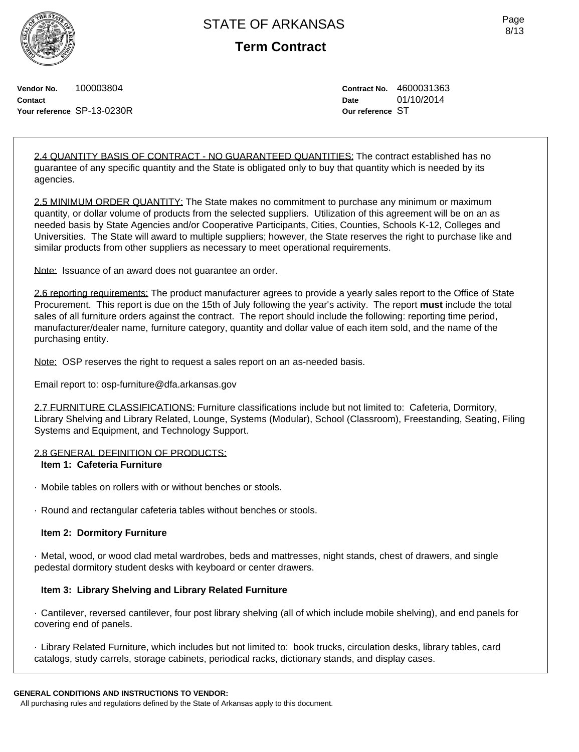

**Term Contract**

**Vendor No.** 100003804 **Contact Your reference** SP-13-0230R **Contract No.** 4600031363 **Date** 01/10/2014 **Our reference** ST

2.4 QUANTITY BASIS OF CONTRACT - NO GUARANTEED QUANTITIES: The contract established has no guarantee of any specific quantity and the State is obligated only to buy that quantity which is needed by its agencies.

2.5 MINIMUM ORDER QUANTITY: The State makes no commitment to purchase any minimum or maximum quantity, or dollar volume of products from the selected suppliers. Utilization of this agreement will be on an as needed basis by State Agencies and/or Cooperative Participants, Cities, Counties, Schools K-12, Colleges and Universities. The State will award to multiple suppliers; however, the State reserves the right to purchase like and similar products from other suppliers as necessary to meet operational requirements.

Note: Issuance of an award does not guarantee an order.

2.6 reporting requirements: The product manufacturer agrees to provide a yearly sales report to the Office of State Procurement. This report is due on the 15th of July following the year's activity. The report **must** include the total sales of all furniture orders against the contract. The report should include the following: reporting time period, manufacturer/dealer name, furniture category, quantity and dollar value of each item sold, and the name of the purchasing entity.

Note: OSP reserves the right to request a sales report on an as-needed basis.

Email report to: osp-furniture@dfa.arkansas.gov

2.7 FURNITURE CLASSIFICATIONS: Furniture classifications include but not limited to: Cafeteria, Dormitory, Library Shelving and Library Related, Lounge, Systems (Modular), School (Classroom), Freestanding, Seating, Filing Systems and Equipment, and Technology Support.

#### 2.8 GENERAL DEFINITION OF PRODUCTS:

#### **Item 1: Cafeteria Furniture**

- · Mobile tables on rollers with or without benches or stools.
- · Round and rectangular cafeteria tables without benches or stools.

### **Item 2: Dormitory Furniture**

· Metal, wood, or wood clad metal wardrobes, beds and mattresses, night stands, chest of drawers, and single pedestal dormitory student desks with keyboard or center drawers.

### **Item 3: Library Shelving and Library Related Furniture**

· Cantilever, reversed cantilever, four post library shelving (all of which include mobile shelving), and end panels for covering end of panels.

· Library Related Furniture, which includes but not limited to: book trucks, circulation desks, library tables, card catalogs, study carrels, storage cabinets, periodical racks, dictionary stands, and display cases.

#### **GENERAL CONDITIONS AND INSTRUCTIONS TO VENDOR:**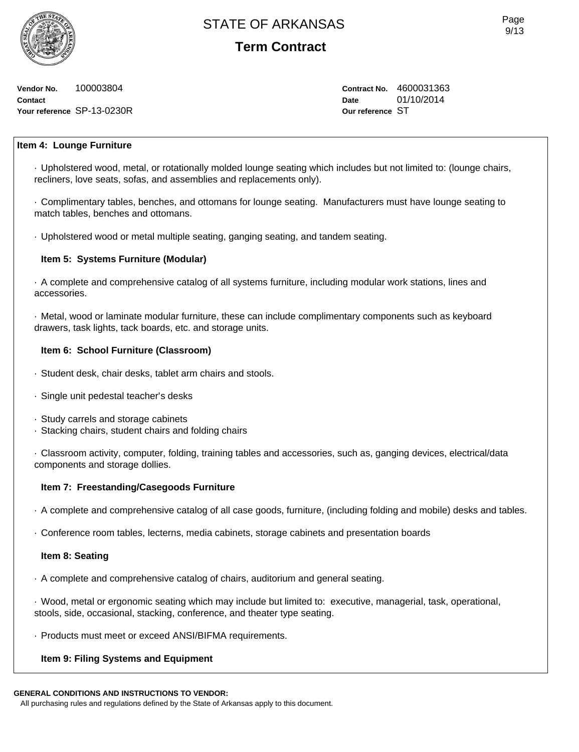**Vendor No.** 100003804 **Contact Your reference** SP-13-0230R **Contract No.** 4600031363 **Date** 01/10/2014 **Our reference** ST

### **Item 4: Lounge Furniture**

· Upholstered wood, metal, or rotationally molded lounge seating which includes but not limited to: (lounge chairs, recliners, love seats, sofas, and assemblies and replacements only).

· Complimentary tables, benches, and ottomans for lounge seating. Manufacturers must have lounge seating to match tables, benches and ottomans.

· Upholstered wood or metal multiple seating, ganging seating, and tandem seating.

### **Item 5: Systems Furniture (Modular)**

· A complete and comprehensive catalog of all systems furniture, including modular work stations, lines and accessories.

· Metal, wood or laminate modular furniture, these can include complimentary components such as keyboard drawers, task lights, tack boards, etc. and storage units.

#### **Item 6: School Furniture (Classroom)**

- · Student desk, chair desks, tablet arm chairs and stools.
- · Single unit pedestal teacher's desks
- · Study carrels and storage cabinets
- · Stacking chairs, student chairs and folding chairs

· Classroom activity, computer, folding, training tables and accessories, such as, ganging devices, electrical/data components and storage dollies.

#### **Item 7: Freestanding/Casegoods Furniture**

· A complete and comprehensive catalog of all case goods, furniture, (including folding and mobile) desks and tables.

· Conference room tables, lecterns, media cabinets, storage cabinets and presentation boards

#### **Item 8: Seating**

· A complete and comprehensive catalog of chairs, auditorium and general seating.

· Wood, metal or ergonomic seating which may include but limited to: executive, managerial, task, operational, stools, side, occasional, stacking, conference, and theater type seating.

· Products must meet or exceed ANSI/BIFMA requirements.

#### **Item 9: Filing Systems and Equipment**

#### **GENERAL CONDITIONS AND INSTRUCTIONS TO VENDOR:**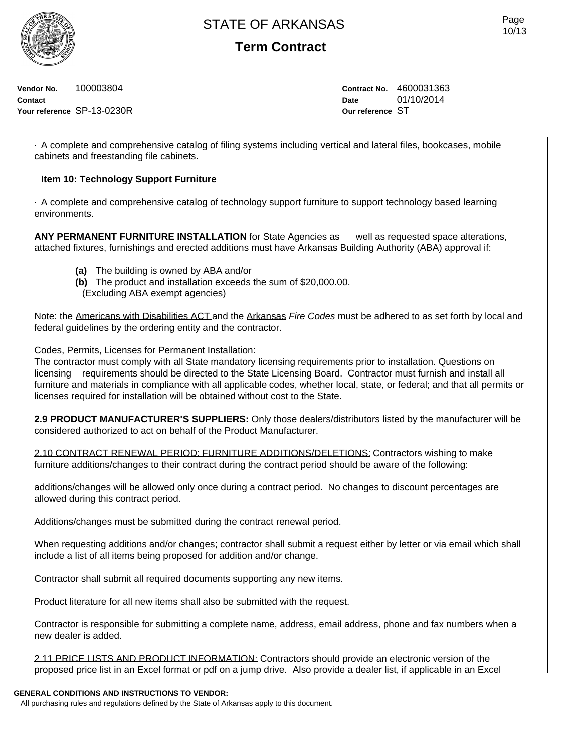

**Term Contract**

**Vendor No.** 100003804 **Contact Your reference** SP-13-0230R **Contract No.** 4600031363 **Date** 01/10/2014 **Our reference** ST

· A complete and comprehensive catalog of filing systems including vertical and lateral files, bookcases, mobile cabinets and freestanding file cabinets.

### **Item 10: Technology Support Furniture**

· A complete and comprehensive catalog of technology support furniture to support technology based learning environments.

**ANY PERMANENT FURNITURE INSTALLATION** for State Agencies as well as requested space alterations, attached fixtures, furnishings and erected additions must have Arkansas Building Authority (ABA) approval if:

- **(a)** The building is owned by ABA and/or
- **(b)** The product and installation exceeds the sum of \$20,000.00.
- (Excluding ABA exempt agencies)

Note: the Americans with Disabilities ACT and the Arkansas *Fire Codes* must be adhered to as set forth by local and federal guidelines by the ordering entity and the contractor.

Codes, Permits, Licenses for Permanent Installation:

The contractor must comply with all State mandatory licensing requirements prior to installation. Questions on licensing requirements should be directed to the State Licensing Board. Contractor must furnish and install all furniture and materials in compliance with all applicable codes, whether local, state, or federal; and that all permits or licenses required for installation will be obtained without cost to the State.

**2.9 PRODUCT MANUFACTURER'S SUPPLIERS:** Only those dealers/distributors listed by the manufacturer will be considered authorized to act on behalf of the Product Manufacturer.

2.10 CONTRACT RENEWAL PERIOD: FURNITURE ADDITIONS/DELETIONS: Contractors wishing to make furniture additions/changes to their contract during the contract period should be aware of the following:

additions/changes will be allowed only once during a contract period. No changes to discount percentages are allowed during this contract period.

Additions/changes must be submitted during the contract renewal period.

When requesting additions and/or changes; contractor shall submit a request either by letter or via email which shall include a list of all items being proposed for addition and/or change.

Contractor shall submit all required documents supporting any new items.

Product literature for all new items shall also be submitted with the request.

Contractor is responsible for submitting a complete name, address, email address, phone and fax numbers when a new dealer is added.

2.11 PRICE LISTS AND PRODUCT INFORMATION: Contractors should provide an electronic version of the proposed price list in an Excel format or pdf on a jump drive. Also provide a dealer list, if applicable in an Excel

#### **GENERAL CONDITIONS AND INSTRUCTIONS TO VENDOR:**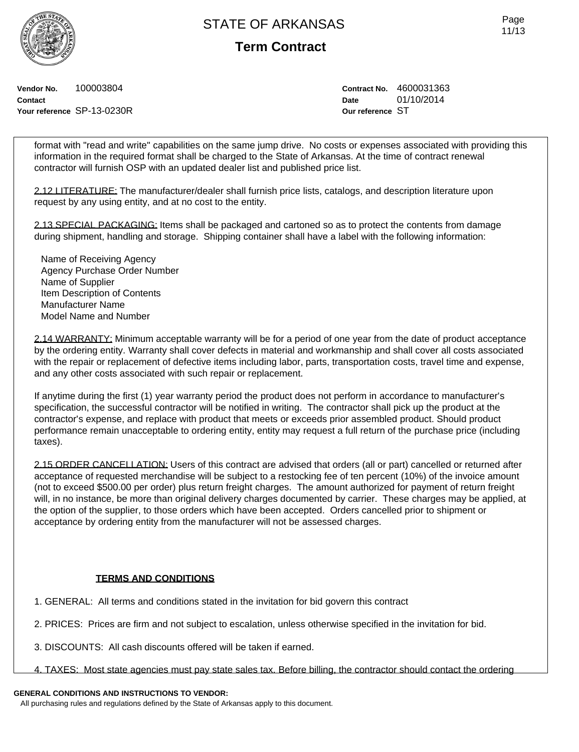**Contact**

**Term Contract**

**Vendor No.** 100003804

**Your reference** SP-13-0230R

**Contract No.** 4600031363 **Date** 01/10/2014 **Our reference** ST

format with "read and write" capabilities on the same jump drive. No costs or expenses associated with providing this information in the required format shall be charged to the State of Arkansas. At the time of contract renewal contractor will furnish OSP with an updated dealer list and published price list.

2.12 LITERATURE: The manufacturer/dealer shall furnish price lists, catalogs, and description literature upon request by any using entity, and at no cost to the entity.

2.13 SPECIAL PACKAGING: Items shall be packaged and cartoned so as to protect the contents from damage during shipment, handling and storage. Shipping container shall have a label with the following information:

Name of Receiving Agency Agency Purchase Order Number Name of Supplier Item Description of Contents Manufacturer Name Model Name and Number

2.14 WARRANTY: Minimum acceptable warranty will be for a period of one year from the date of product acceptance by the ordering entity. Warranty shall cover defects in material and workmanship and shall cover all costs associated with the repair or replacement of defective items including labor, parts, transportation costs, travel time and expense, and any other costs associated with such repair or replacement.

If anytime during the first (1) year warranty period the product does not perform in accordance to manufacturer's specification, the successful contractor will be notified in writing. The contractor shall pick up the product at the contractor's expense, and replace with product that meets or exceeds prior assembled product. Should product performance remain unacceptable to ordering entity, entity may request a full return of the purchase price (including taxes).

2.15 ORDER CANCELLATION: Users of this contract are advised that orders (all or part) cancelled or returned after acceptance of requested merchandise will be subject to a restocking fee of ten percent (10%) of the invoice amount (not to exceed \$500.00 per order) plus return freight charges. The amount authorized for payment of return freight will, in no instance, be more than original delivery charges documented by carrier. These charges may be applied, at the option of the supplier, to those orders which have been accepted. Orders cancelled prior to shipment or acceptance by ordering entity from the manufacturer will not be assessed charges.

### **TERMS AND CONDITIONS**

1. GENERAL: All terms and conditions stated in the invitation for bid govern this contract

- 2. PRICES: Prices are firm and not subject to escalation, unless otherwise specified in the invitation for bid.
- 3. DISCOUNTS: All cash discounts offered will be taken if earned.
- 4. TAXES: Most state agencies must pay state sales tax. Before billing, the contractor should contact the ordering

## **GENERAL CONDITIONS AND INSTRUCTIONS TO VENDOR:**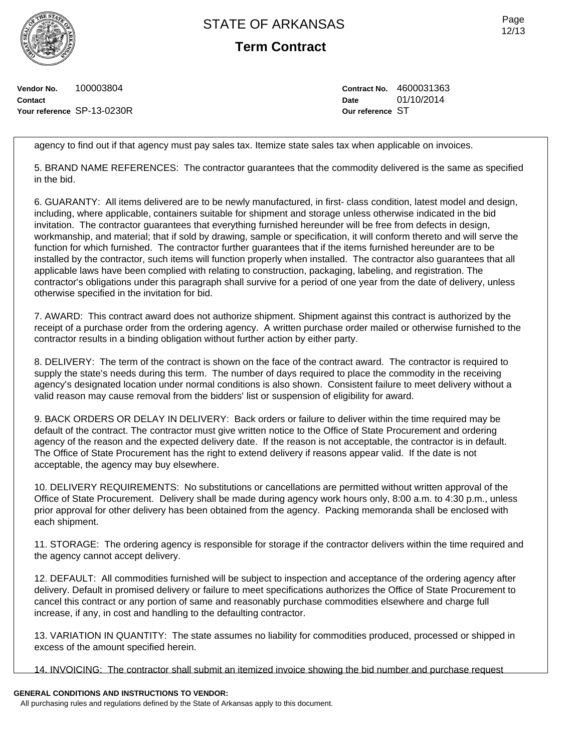**Term Contract**

**Vendor No.** 100003804 **Contact Your reference** SP-13-0230R **Contract No.** 4600031363 **Date** 01/10/2014 **Our reference** ST

agency to find out if that agency must pay sales tax. Itemize state sales tax when applicable on invoices.

5. BRAND NAME REFERENCES: The contractor guarantees that the commodity delivered is the same as specified in the bid.

6. GUARANTY: All items delivered are to be newly manufactured, in first- class condition, latest model and design, including, where applicable, containers suitable for shipment and storage unless otherwise indicated in the bid invitation. The contractor guarantees that everything furnished hereunder will be free from defects in design, workmanship, and material; that if sold by drawing, sample or specification, it will conform thereto and will serve the function for which furnished. The contractor further guarantees that if the items furnished hereunder are to be installed by the contractor, such items will function properly when installed. The contractor also guarantees that all applicable laws have been complied with relating to construction, packaging, labeling, and registration. The contractor's obligations under this paragraph shall survive for a period of one year from the date of delivery, unless otherwise specified in the invitation for bid.

7. AWARD: This contract award does not authorize shipment. Shipment against this contract is authorized by the receipt of a purchase order from the ordering agency. A written purchase order mailed or otherwise furnished to the contractor results in a binding obligation without further action by either party.

8. DELIVERY: The term of the contract is shown on the face of the contract award. The contractor is required to supply the state's needs during this term. The number of days required to place the commodity in the receiving agency's designated location under normal conditions is also shown. Consistent failure to meet delivery without a valid reason may cause removal from the bidders' list or suspension of eligibility for award.

9. BACK ORDERS OR DELAY IN DELIVERY: Back orders or failure to deliver within the time required may be default of the contract. The contractor must give written notice to the Office of State Procurement and ordering agency of the reason and the expected delivery date. If the reason is not acceptable, the contractor is in default. The Office of State Procurement has the right to extend delivery if reasons appear valid. If the date is not acceptable, the agency may buy elsewhere.

10. DELIVERY REQUIREMENTS: No substitutions or cancellations are permitted without written approval of the Office of State Procurement. Delivery shall be made during agency work hours only, 8:00 a.m. to 4:30 p.m., unless prior approval for other delivery has been obtained from the agency. Packing memoranda shall be enclosed with each shipment.

11. STORAGE: The ordering agency is responsible for storage if the contractor delivers within the time required and the agency cannot accept delivery.

12. DEFAULT: All commodities furnished will be subject to inspection and acceptance of the ordering agency after delivery. Default in promised delivery or failure to meet specifications authorizes the Office of State Procurement to cancel this contract or any portion of same and reasonably purchase commodities elsewhere and charge full increase, if any, in cost and handling to the defaulting contractor.

13. VARIATION IN QUANTITY: The state assumes no liability for commodities produced, processed or shipped in excess of the amount specified herein.

14. INVOICING: The contractor shall submit an itemized invoice showing the bid number and purchase request

### **GENERAL CONDITIONS AND INSTRUCTIONS TO VENDOR:**